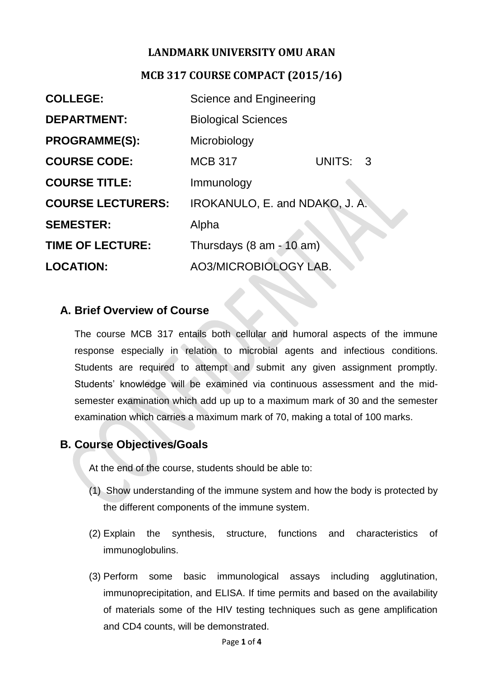### **LANDMARK UNIVERSITY OMU ARAN**

#### **MCB 317 COURSE COMPACT (2015/16)**

| <b>COLLEGE:</b>          | Science and Engineering        |          |
|--------------------------|--------------------------------|----------|
| <b>DEPARTMENT:</b>       | <b>Biological Sciences</b>     |          |
| <b>PROGRAMME(S):</b>     | Microbiology                   |          |
| <b>COURSE CODE:</b>      | <b>MCB 317</b>                 | UNITS: 3 |
| <b>COURSE TITLE:</b>     | Immunology                     |          |
| <b>COURSE LECTURERS:</b> | IROKANULO, E. and NDAKO, J. A. |          |
| <b>SEMESTER:</b>         | Alpha                          |          |
| <b>TIME OF LECTURE:</b>  | Thursdays (8 am - 10 am)       |          |
| <b>LOCATION:</b>         | <b>AO3/MICROBIOLOGY LAB.</b>   |          |

### **A. Brief Overview of Course**

The course MCB 317 entails both cellular and humoral aspects of the immune response especially in relation to microbial agents and infectious conditions. Students are required to attempt and submit any given assignment promptly. Students' knowledge will be examined via continuous assessment and the midsemester examination which add up up to a maximum mark of 30 and the semester examination which carries a maximum mark of 70, making a total of 100 marks.

### **B. Course Objectives/Goals**

At the end of the course, students should be able to:

- (1) Show understanding of the immune system and how the body is protected by the different components of the immune system.
- (2) Explain the synthesis, structure, functions and characteristics of immunoglobulins.
- (3) Perform some basic immunological assays including agglutination, immunoprecipitation, and ELISA. If time permits and based on the availability of materials some of the HIV testing techniques such as gene amplification and CD4 counts, will be demonstrated.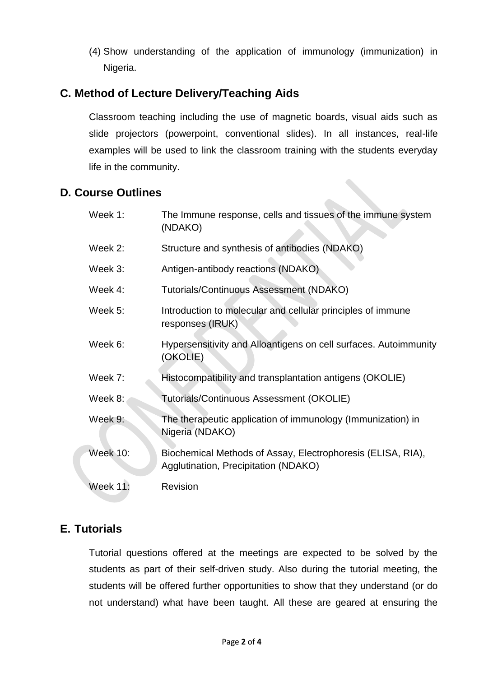(4) Show understanding of the application of immunology (immunization) in Nigeria.

# **C. Method of Lecture Delivery/Teaching Aids**

Classroom teaching including the use of magnetic boards, visual aids such as slide projectors (powerpoint, conventional slides). In all instances, real-life examples will be used to link the classroom training with the students everyday life in the community.

### **D. Course Outlines**

| Week 1:         | The Immune response, cells and tissues of the immune system<br>(NDAKO)                              |
|-----------------|-----------------------------------------------------------------------------------------------------|
| Week 2:         | Structure and synthesis of antibodies (NDAKO)                                                       |
| Week 3:         | Antigen-antibody reactions (NDAKO)                                                                  |
| Week 4:         | Tutorials/Continuous Assessment (NDAKO)                                                             |
| Week 5:         | Introduction to molecular and cellular principles of immune<br>responses (IRUK)                     |
| Week 6:         | Hypersensitivity and Alloantigens on cell surfaces. Autoimmunity<br>(OKOLIE)                        |
| Week 7:         | Histocompatibility and transplantation antigens (OKOLIE)                                            |
| Week 8:         | Tutorials/Continuous Assessment (OKOLIE)                                                            |
| Week 9:         | The therapeutic application of immunology (Immunization) in<br>Nigeria (NDAKO)                      |
| <b>Week 10:</b> | Biochemical Methods of Assay, Electrophoresis (ELISA, RIA),<br>Agglutination, Precipitation (NDAKO) |
| <b>Week 11:</b> | Revision                                                                                            |

### **E. Tutorials**

Tutorial questions offered at the meetings are expected to be solved by the students as part of their self-driven study. Also during the tutorial meeting, the students will be offered further opportunities to show that they understand (or do not understand) what have been taught. All these are geared at ensuring the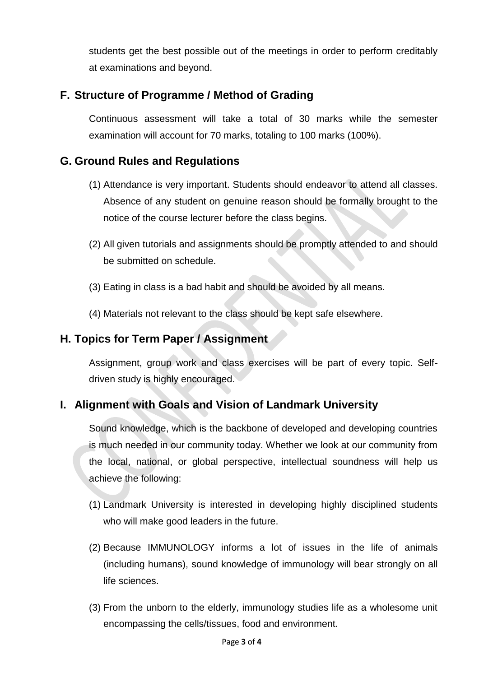students get the best possible out of the meetings in order to perform creditably at examinations and beyond.

## **F. Structure of Programme / Method of Grading**

Continuous assessment will take a total of 30 marks while the semester examination will account for 70 marks, totaling to 100 marks (100%).

### **G. Ground Rules and Regulations**

- (1) Attendance is very important. Students should endeavor to attend all classes. Absence of any student on genuine reason should be formally brought to the notice of the course lecturer before the class begins.
- (2) All given tutorials and assignments should be promptly attended to and should be submitted on schedule.
- (3) Eating in class is a bad habit and should be avoided by all means.
- (4) Materials not relevant to the class should be kept safe elsewhere.

### **H. Topics for Term Paper / Assignment**

Assignment, group work and class exercises will be part of every topic. Selfdriven study is highly encouraged.

### **I. Alignment with Goals and Vision of Landmark University**

Sound knowledge, which is the backbone of developed and developing countries is much needed in our community today. Whether we look at our community from the local, national, or global perspective, intellectual soundness will help us achieve the following:

- (1) Landmark University is interested in developing highly disciplined students who will make good leaders in the future.
- (2) Because IMMUNOLOGY informs a lot of issues in the life of animals (including humans), sound knowledge of immunology will bear strongly on all life sciences.
- (3) From the unborn to the elderly, immunology studies life as a wholesome unit encompassing the cells/tissues, food and environment.